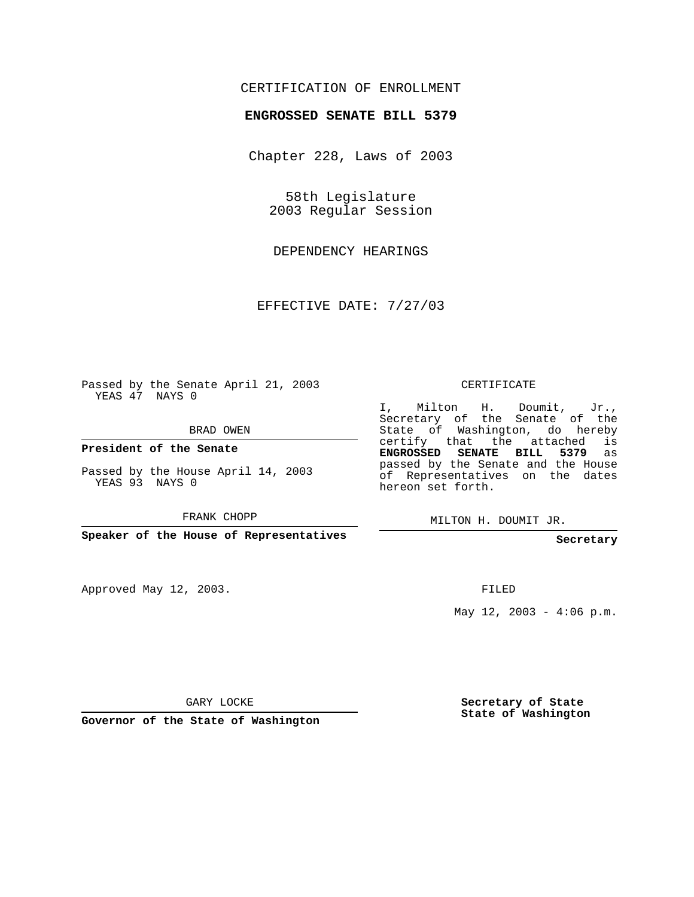## CERTIFICATION OF ENROLLMENT

## **ENGROSSED SENATE BILL 5379**

Chapter 228, Laws of 2003

58th Legislature 2003 Regular Session

DEPENDENCY HEARINGS

EFFECTIVE DATE: 7/27/03

Passed by the Senate April 21, 2003 YEAS 47 NAYS 0

BRAD OWEN

**President of the Senate**

Passed by the House April 14, 2003 YEAS 93 NAYS 0

FRANK CHOPP

**Speaker of the House of Representatives**

Approved May 12, 2003.

CERTIFICATE

I, Milton H. Doumit, Jr., Secretary of the Senate of the State of Washington, do hereby certify that the attached is **ENGROSSED SENATE BILL 5379** as passed by the Senate and the House of Representatives on the dates hereon set forth.

MILTON H. DOUMIT JR.

**Secretary**

FILED

May  $12$ ,  $2003 - 4:06$  p.m.

GARY LOCKE

**Governor of the State of Washington**

**Secretary of State State of Washington**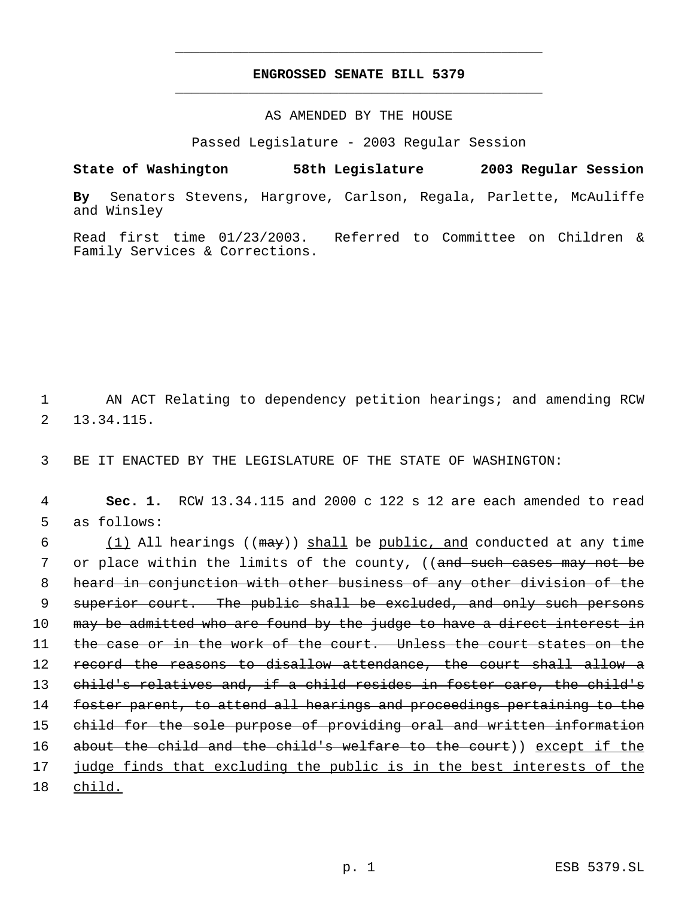## **ENGROSSED SENATE BILL 5379** \_\_\_\_\_\_\_\_\_\_\_\_\_\_\_\_\_\_\_\_\_\_\_\_\_\_\_\_\_\_\_\_\_\_\_\_\_\_\_\_\_\_\_\_\_

\_\_\_\_\_\_\_\_\_\_\_\_\_\_\_\_\_\_\_\_\_\_\_\_\_\_\_\_\_\_\_\_\_\_\_\_\_\_\_\_\_\_\_\_\_

AS AMENDED BY THE HOUSE

Passed Legislature - 2003 Regular Session

**State of Washington 58th Legislature 2003 Regular Session By** Senators Stevens, Hargrove, Carlson, Regala, Parlette, McAuliffe and Winsley

Read first time 01/23/2003. Referred to Committee on Children & Family Services & Corrections.

 1 AN ACT Relating to dependency petition hearings; and amending RCW 2 13.34.115.

3 BE IT ENACTED BY THE LEGISLATURE OF THE STATE OF WASHINGTON:

 4 **Sec. 1.** RCW 13.34.115 and 2000 c 122 s 12 are each amended to read 5 as follows:

6 (1) All hearings ( $(may)$ ) shall be public, and conducted at any time 7 or place within the limits of the county, ((and such cases may not be 8 heard in conjunction with other business of any other division of the 9 superior court. The public shall be excluded, and only such persons 10 may be admitted who are found by the judge to have a direct interest in 11 the case or in the work of the court. Unless the court states on the 12 record the reasons to disallow attendance, the court shall allow a 13 child's relatives and, if a child resides in foster care, the child's 14 foster parent, to attend all hearings and proceedings pertaining to the 15 child for the sole purpose of providing oral and written information 16 about the child and the child's welfare to the court)) except if the 17 judge finds that excluding the public is in the best interests of the 18 child.